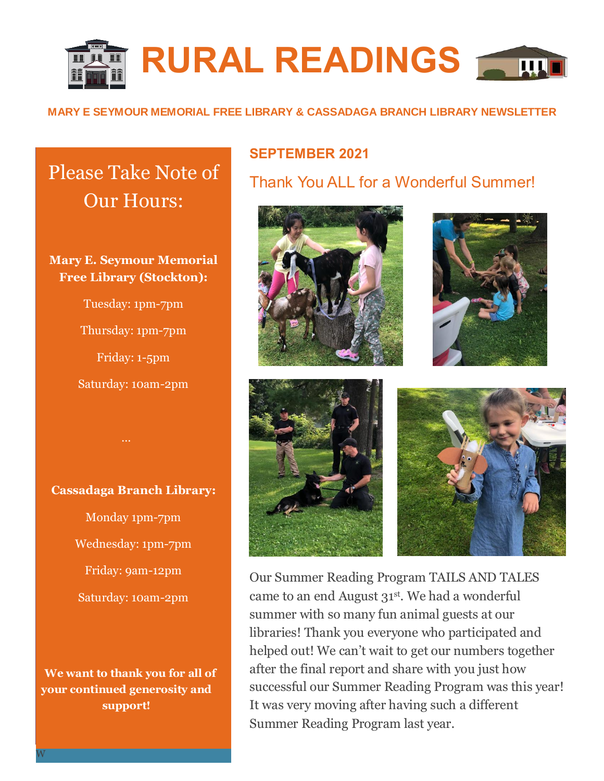

#### **MARY E SEYMOUR MEMORIAL FREE LIBRARY & CASSADAGA BRANCH LIBRARY NEWSLETTER**

# Please Take Note of Our Hours:

## **Mary E. Seymour Memorial Free Library (Stockton):**

Tuesday: 1pm-7pm Thursday: 1pm-7pm Friday: 1-5pm Saturday: 10am-2pm

**Cassadaga Branch Library:**

Monday 1pm-7pm Wednesday: 1pm-7pm Friday: 9am-12pm Saturday: 10am-2pm

 **We want to thank you for all of your continued generosity and support!**

## **SEPTEMBER 2021**

Thank You ALL for a Wonderful Summer!









Our Summer Reading Program TAILS AND TALES came to an end August 31st . We had a wonderful summer with so many fun animal guests at our libraries! Thank you everyone who participated and helped out! We can't wait to get our numbers together after the final report and share with you just how successful our Summer Reading Program was this year! It was very moving after having such a different Summer Reading Program last year.